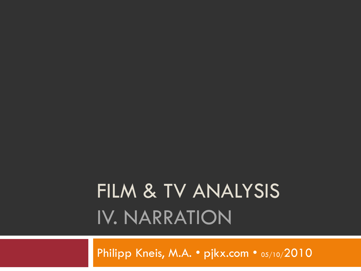# FILM & TV ANALYSIS IV. NARRATION

Philipp Kneis, M.A. • pjkx.com • 05/10/2010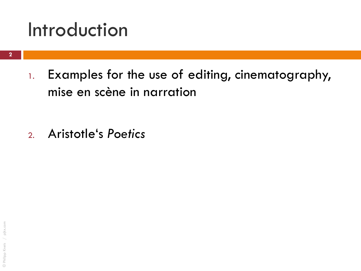### Introduction

1. Examples for the use of editing, cinematography, mise en scène in narration

2. Aristotle"s *Poetics*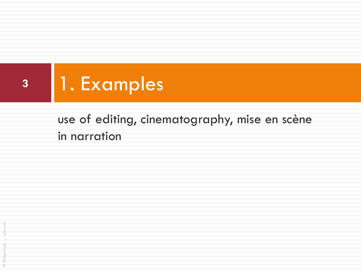

### use of editing, cinematography, mise en scène in narration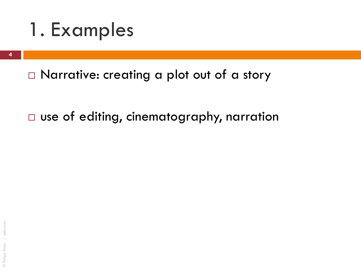

□ Narrative: creating a plot out of a story

□ use of editing, cinematography, narration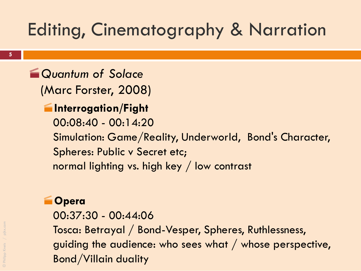## Editing, Cinematography & Narration

**Em Quantum of Solace** (Marc Forster, 2008)

#### **Interrogation/Fight**

00:08:40 - 00:14:20

Simulation: Game/Reality, Underworld, Bond's Character, Spheres: Public v Secret etc;

normal lighting vs. high key / low contrast

#### **Opera**

00:37:30 - 00:44:06 Tosca: Betrayal / Bond-Vesper, Spheres, Ruthlessness, guiding the audience: who sees what / whose perspective, Bond/Villain duality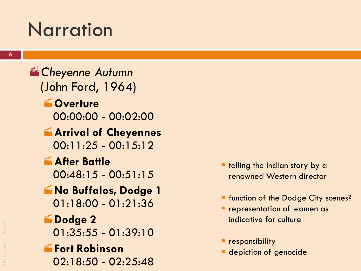## **Narration**

**End Cheyenne Autumn** (John Ford, 1964) **Coverture** 00:00:00 - 00:02:00 **Arrival of Cheyennes**  $00:11:25 - 00:15:12$ **After Battle**  $00:48:15 - 00:51:15$ **No Buffalos, Dodge 1** 01:18:00 - 01:21:36 **Dodge 2** 01:35:55 - 01:39:10 **Fort Robinson** 02:18:50 - 02:25:48

- **the Indian story by a** renowned Western director
- **F** function of the Dodge City scenes?
- **Performation of women as** indicative for culture
- **P** responsibility
- **depiction of genocide**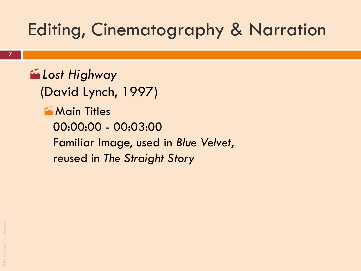### Editing, Cinematography & Narration

*Lost Highway* (David Lynch, 1997) **Main Titles** 00:00:00 - 00:03:00 Familiar Image, used in *Blue Velvet*, reused in *The Straight Story*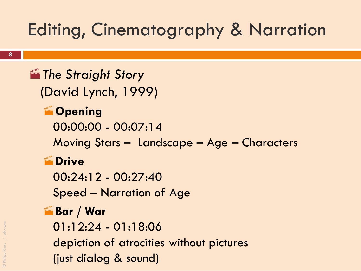## Editing, Cinematography & Narration

**Formal The Straight Story** (David Lynch, 1999) **Coming** 00:00:00 - 00:07:14 Moving Stars – Landscape – Age – Characters **EDrive** 

00:24:12 - 00:27:40

Speed – Narration of Age

#### **Bar / War**

01:12:24 - 01:18:06

depiction of atrocities without pictures (just dialog & sound)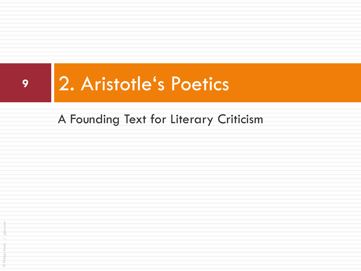

#### A Founding Text for Literary Criticism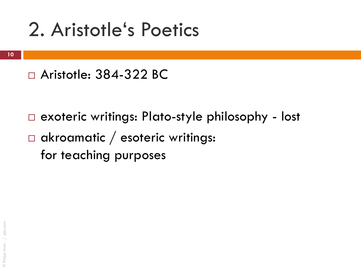### □ Aristotle: 384-322 BC

- □ exoteric writings: Plato-style philosophy lost
- $\Box$  akroamatic / esoteric writings: for teaching purposes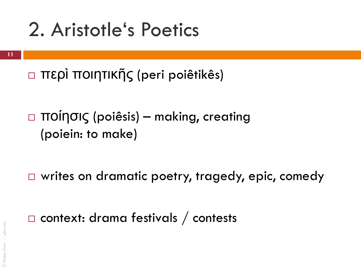- περὶ ποιητικῆς (peri poiêtikês)
- ποίησις (poiêsis) making, creating (poiein: to make)
- □ writes on dramatic poetry, tragedy, epic, comedy
- $\Box$  context: drama festivals / contests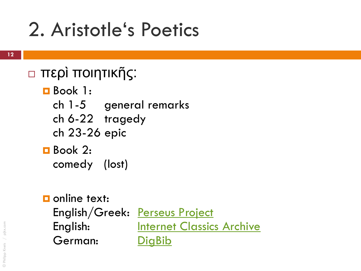### περὶ ποιητικῆς:

- Book 1:
	- ch 1-5 general remarks
	- ch 6-22 tragedy
	- ch 23-26 epic
- Book 2: comedy (lost)
- **D** online text: English/Greek: [Perseus Project](http://www.perseus.tufts.edu/hopper/text.jsp?doc=Perseus:text:1999.01.0056:section=1447a&highlight=poetics,aristotle) English: **[Internet Classics Archive](http://classics.mit.edu/Aristotle/poetics.html)** German: [DigBib](http://www.digbib.org/Aristoteles_384vChr/De_Poetik?showall=1)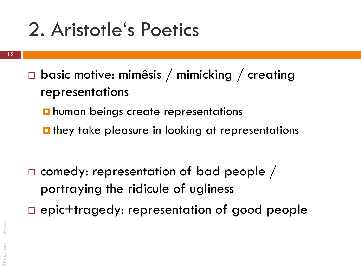- **13**
- $\Box$  basic motive: mimêsis / mimicking / creating representations
	- $\blacksquare$  human beings create representations
	- $\blacksquare$  they take pleasure in looking at representations

 $\square$  comedy: representation of bad people / portraying the ridicule of ugliness epic+tragedy: representation of good people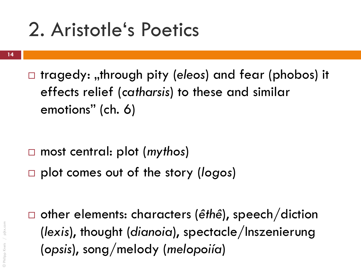- **14**
- □ tragedy: "through pity (*eleos*) and fear (phobos) it effects relief (*catharsis*) to these and similar emotions" (ch. 6)

- most central: plot (*mythos*)
- plot comes out of the story (*logos*)

 other elements: characters (*êthê*), speech/diction (*lexis*), thought (*dianoia*), spectacle/Inszenierung (*opsis*), song/melody (*melopoiía*)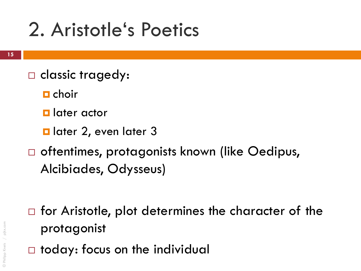- □ classic tragedy:
	- $\blacksquare$  choir
	- **L** later actor
	- **d** later 2, even later 3
- □ oftentimes, protagonists known (like Oedipus, Alcibiades, Odysseus)

- $\Box$  for Aristotle, plot determines the character of the protagonist
- $\Box$  today: focus on the individual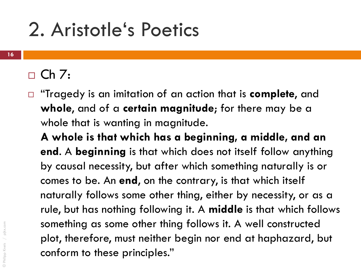### $\Box$  Ch 7:

 "Tragedy is an imitation of an action that is **complete**, and **whole**, and of a **certain magnitude**; for there may be a whole that is wanting in magnitude.

**A whole is that which has a beginning, a middle, and an end**. A **beginning** is that which does not itself follow anything by causal necessity, but after which something naturally is or comes to be. An **end**, on the contrary, is that which itself naturally follows some other thing, either by necessity, or as a rule, but has nothing following it. A **middle** is that which follows something as some other thing follows it. A well constructed plot, therefore, must neither begin nor end at haphazard, but conform to these principles."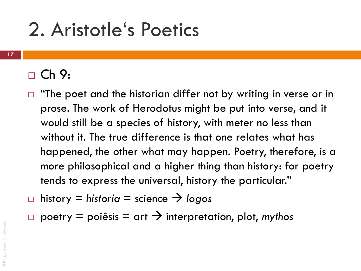#### $\Box$  Ch 9:

- "The poet and the historian differ not by writing in verse or in prose. The work of Herodotus might be put into verse, and it would still be a species of history, with meter no less than without it. The true difference is that one relates what has happened, the other what may happen. Poetry, therefore, is a more philosophical and a higher thing than history: for poetry tends to express the universal, history the particular."
- $\Box$  history  $\equiv$  historia  $\equiv$  science  $\rightarrow$  logos
- poetry  $=$  poiêsis  $=$  art  $\rightarrow$  interpretation, plot, *mythos*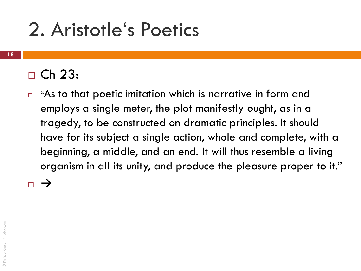### $\Box$  Ch 23:

 $\Box$  "As to that poetic imitation which is narrative in form and employs a single meter, the plot manifestly ought, as in a tragedy, to be constructed on dramatic principles. It should have for its subject a single action, whole and complete, with a beginning, a middle, and an end. It will thus resemble a living organism in all its unity, and produce the pleasure proper to it."

 $\overline{\phantom{0}}$   $\rightarrow$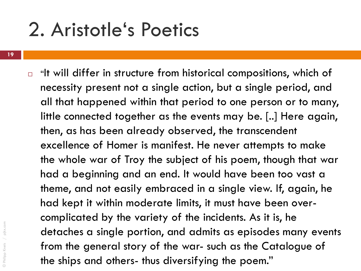$\Box$  "It will differ in structure from historical compositions, which of necessity present not a single action, but a single period, and all that happened within that period to one person or to many, little connected together as the events may be. [..] Here again, then, as has been already observed, the transcendent excellence of Homer is manifest. He never attempts to make the whole war of Troy the subject of his poem, though that war had a beginning and an end. It would have been too vast a theme, and not easily embraced in a single view. If, again, he had kept it within moderate limits, it must have been overcomplicated by the variety of the incidents. As it is, he detaches a single portion, and admits as episodes many events from the general story of the war- such as the Catalogue of the ships and others- thus diversifying the poem."